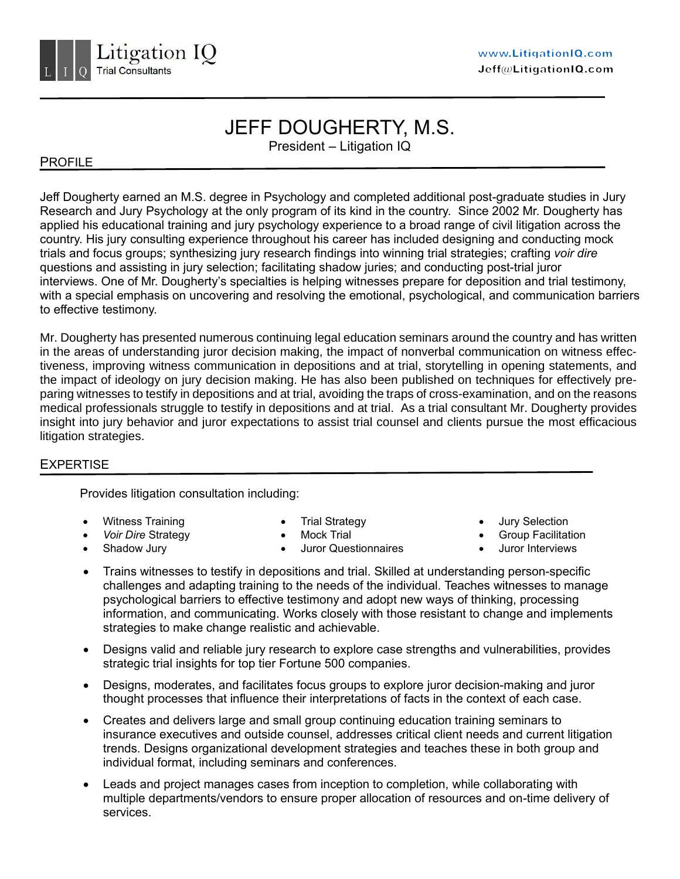

# JEFF DOUGHERTY, M.S.

President – Litigation IQ

## PROFILE

Jeff Dougherty earned an M.S. degree in Psychology and completed additional post-graduate studies in Jury Research and Jury Psychology at the only program of its kind in the country. Since 2002 Mr. Dougherty has applied his educational training and jury psychology experience to a broad range of civil litigation across the country. His jury consulting experience throughout his career has included designing and conducting mock trials and focus groups; synthesizing jury research findings into winning trial strategies; crafting *voir dire* questions and assisting in jury selection; facilitating shadow juries; and conducting post-trial juror interviews. One of Mr. Dougherty's specialties is helping witnesses prepare for deposition and trial testimony, with a special emphasis on uncovering and resolving the emotional, psychological, and communication barriers to effective testimony.

Mr. Dougherty has presented numerous continuing legal education seminars around the country and has written in the areas of understanding juror decision making, the impact of nonverbal communication on witness effectiveness, improving witness communication in depositions and at trial, storytelling in opening statements, and the impact of ideology on jury decision making. He has also been published on techniques for effectively preparing witnesses to testify in depositions and at trial, avoiding the traps of cross-examination, and on the reasons medical professionals struggle to testify in depositions and at trial. As a trial consultant Mr. Dougherty provides insight into jury behavior and juror expectations to assist trial counsel and clients pursue the most efficacious litigation strategies.

## **EXPERTISE**

Provides litigation consultation including:

- Witness Training
- *Voir Dire* Strategy
- Shadow Jury
- Trial Strategy
- Mock Trial
- Juror Questionnaires
- Jury Selection
- Group Facilitation
- Juror Interviews
- Trains witnesses to testify in depositions and trial. Skilled at understanding person-specific challenges and adapting training to the needs of the individual. Teaches witnesses to manage psychological barriers to effective testimony and adopt new ways of thinking, processing information, and communicating. Works closely with those resistant to change and implements strategies to make change realistic and achievable.
- Designs valid and reliable jury research to explore case strengths and vulnerabilities, provides strategic trial insights for top tier Fortune 500 companies.
- Designs, moderates, and facilitates focus groups to explore juror decision-making and juror thought processes that influence their interpretations of facts in the context of each case.
- Creates and delivers large and small group continuing education training seminars to insurance executives and outside counsel, addresses critical client needs and current litigation trends. Designs organizational development strategies and teaches these in both group and individual format, including seminars and conferences.
- Leads and project manages cases from inception to completion, while collaborating with multiple departments/vendors to ensure proper allocation of resources and on-time delivery of services.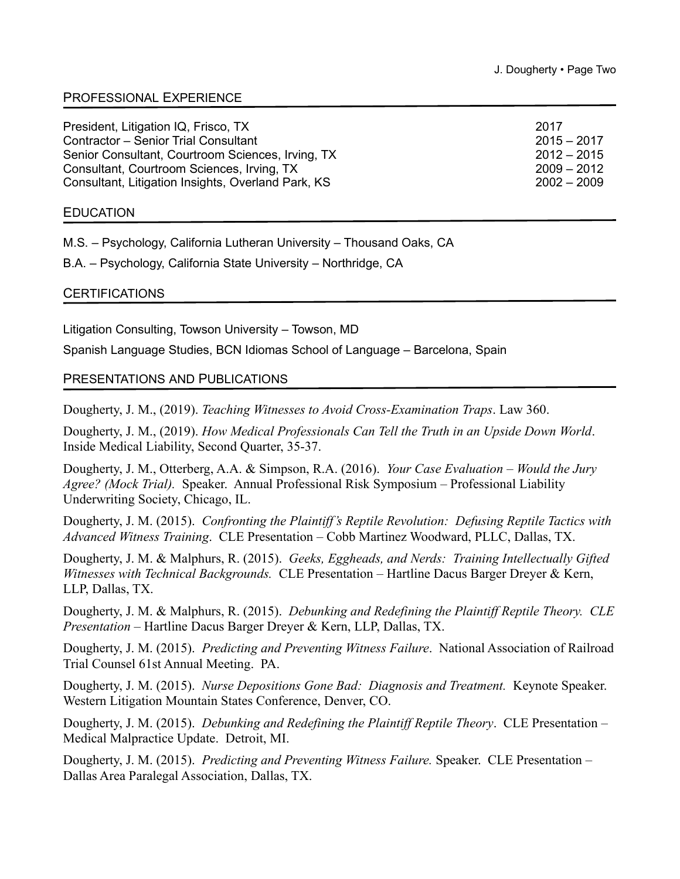## PROFESSIONAL EXPERIENCE

| President, Litigation IQ, Frisco, TX               | 2017          |
|----------------------------------------------------|---------------|
| <b>Contractor - Senior Trial Consultant</b>        | $2015 - 2017$ |
| Senior Consultant, Courtroom Sciences, Irving, TX  | $2012 - 2015$ |
| Consultant, Courtroom Sciences, Irving, TX         | $2009 - 2012$ |
| Consultant, Litigation Insights, Overland Park, KS | $2002 - 2009$ |
|                                                    |               |

#### **EDUCATION**

M.S. – Psychology, California Lutheran University – Thousand Oaks, CA

B.A. – Psychology, California State University – Northridge, CA

#### **CERTIFICATIONS**

Litigation Consulting, Towson University – Towson, MD

Spanish Language Studies, BCN Idiomas School of Language – Barcelona, Spain

#### PRESENTATIONS AND PUBLICATIONS

Dougherty, J. M., (2019). *Teaching Witnesses to Avoid Cross-Examination Traps*. Law 360.

Dougherty, J. M., (2019). *How Medical Professionals Can Tell the Truth in an Upside Down World*. Inside Medical Liability, Second Quarter, 35-37.

Dougherty, J. M., Otterberg, A.A. & Simpson, R.A. (2016). *Your Case Evaluation – Would the Jury Agree? (Mock Trial).* Speaker. Annual Professional Risk Symposium – Professional Liability Underwriting Society, Chicago, IL.

Dougherty, J. M. (2015). *Confronting the Plaintiff's Reptile Revolution: Defusing Reptile Tactics with Advanced Witness Training*. CLE Presentation – Cobb Martinez Woodward, PLLC, Dallas, TX.

Dougherty, J. M. & Malphurs, R. (2015). *Geeks, Eggheads, and Nerds: Training Intellectually Gifted Witnesses with Technical Backgrounds.* CLE Presentation – Hartline Dacus Barger Dreyer & Kern, LLP, Dallas, TX.

Dougherty, J. M. & Malphurs, R. (2015). *Debunking and Redefining the Plaintiff Reptile Theory. CLE Presentation* – Hartline Dacus Barger Dreyer & Kern, LLP, Dallas, TX.

Dougherty, J. M. (2015). *Predicting and Preventing Witness Failure*. National Association of Railroad Trial Counsel 61st Annual Meeting. PA.

Dougherty, J. M. (2015). *Nurse Depositions Gone Bad: Diagnosis and Treatment.* Keynote Speaker. Western Litigation Mountain States Conference, Denver, CO.

Dougherty, J. M. (2015). *Debunking and Redefining the Plaintiff Reptile Theory*. CLE Presentation – Medical Malpractice Update. Detroit, MI.

Dougherty, J. M. (2015). *Predicting and Preventing Witness Failure.* Speaker. CLE Presentation – Dallas Area Paralegal Association, Dallas, TX.